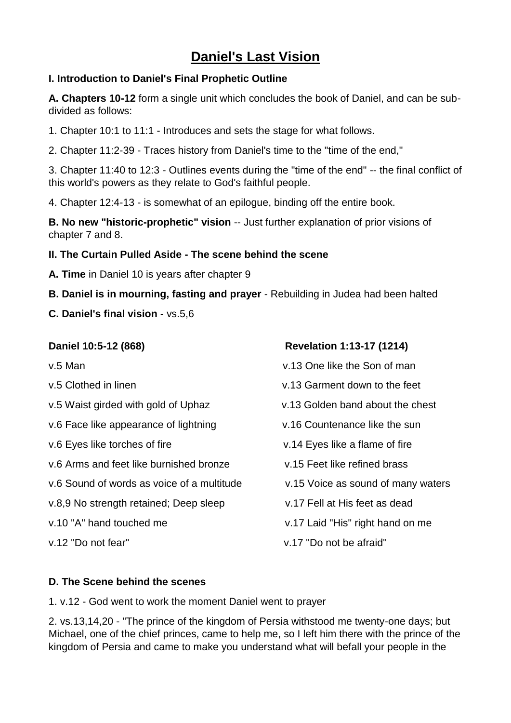# **Daniel's Last Vision**

### **I. Introduction to Daniel's Final Prophetic Outline**

**A. Chapters 10-12** form a single unit which concludes the book of Daniel, and can be subdivided as follows:

1. Chapter 10:1 to 11:1 - Introduces and sets the stage for what follows.

2. Chapter 11:2-39 - Traces history from Daniel's time to the "time of the end,"

3. Chapter 11:40 to 12:3 - Outlines events during the "time of the end" -- the final conflict of this world's powers as they relate to God's faithful people.

4. Chapter 12:4-13 - is somewhat of an epilogue, binding off the entire book.

**B. No new "historic-prophetic" vision** -- Just further explanation of prior visions of chapter 7 and 8.

#### **II. The Curtain Pulled Aside - The scene behind the scene**

- **A. Time** in Daniel 10 is years after chapter 9
- **B. Daniel is in mourning, fasting and prayer** Rebuilding in Judea had been halted
- **C. Daniel's final vision** vs.5,6

| Daniel 10:5-12 (868)                       | <b>Revelation 1:13-17 (1214)</b>   |
|--------------------------------------------|------------------------------------|
| v.5 Man                                    | v.13 One like the Son of man       |
| v.5 Clothed in linen                       | y.13 Garment down to the feet      |
| v.5 Waist girded with gold of Uphaz        | v.13 Golden band about the chest   |
| v.6 Face like appearance of lightning      | v.16 Countenance like the sun      |
| v.6 Eyes like torches of fire              | v.14 Eyes like a flame of fire     |
| v.6 Arms and feet like burnished bronze    | v.15 Feet like refined brass       |
| v.6 Sound of words as voice of a multitude | v.15 Voice as sound of many waters |
| v.8,9 No strength retained; Deep sleep     | v.17 Fell at His feet as dead      |
| v.10 "A" hand touched me                   | v.17 Laid "His" right hand on me   |
| v.12 "Do not fear"                         | v.17 "Do not be afraid"            |
|                                            |                                    |

#### **D. The Scene behind the scenes**

1. v.12 - God went to work the moment Daniel went to prayer

2. vs.13,14,20 - "The prince of the kingdom of Persia withstood me twenty-one days; but Michael, one of the chief princes, came to help me, so I left him there with the prince of the kingdom of Persia and came to make you understand what will befall your people in the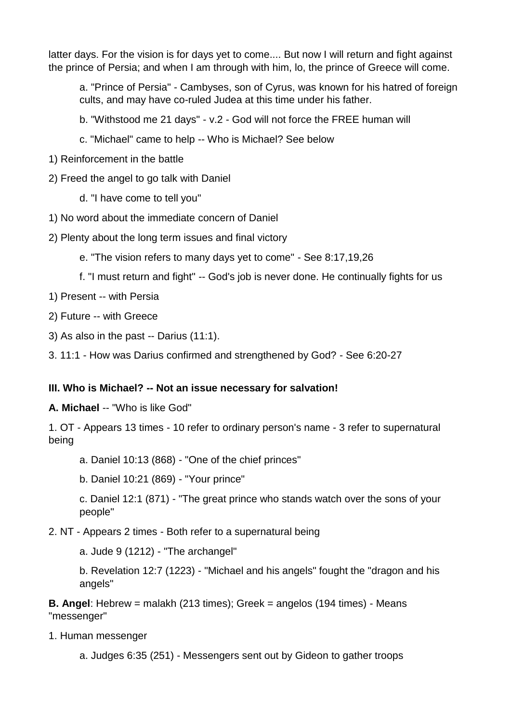latter days. For the vision is for days yet to come.... But now I will return and fight against the prince of Persia; and when I am through with him, lo, the prince of Greece will come.

a. "Prince of Persia" - Cambyses, son of Cyrus, was known for his hatred of foreign cults, and may have co-ruled Judea at this time under his father.

b. "Withstood me 21 days" - v.2 - God will not force the FREE human will

- c. "Michael" came to help -- Who is Michael? See below
- 1) Reinforcement in the battle

2) Freed the angel to go talk with Daniel

d. "I have come to tell you"

1) No word about the immediate concern of Daniel

2) Plenty about the long term issues and final victory

e. "The vision refers to many days yet to come" - See 8:17,19,26

f. "I must return and fight" -- God's job is never done. He continually fights for us

1) Present -- with Persia

2) Future -- with Greece

3) As also in the past -- Darius (11:1).

3. 11:1 - How was Darius confirmed and strengthened by God? - See 6:20-27

## **III. Who is Michael? -- Not an issue necessary for salvation!**

**A. Michael** -- "Who is like God"

1. OT - Appears 13 times - 10 refer to ordinary person's name - 3 refer to supernatural being

a. Daniel 10:13 (868) - "One of the chief princes"

b. Daniel 10:21 (869) - "Your prince"

c. Daniel 12:1 (871) - "The great prince who stands watch over the sons of your people"

2. NT - Appears 2 times - Both refer to a supernatural being

a. Jude 9 (1212) - "The archangel"

b. Revelation 12:7 (1223) - "Michael and his angels" fought the "dragon and his angels"

**B. Angel**: Hebrew = malakh (213 times); Greek = angelos (194 times) - Means "messenger"

1. Human messenger

a. Judges 6:35 (251) - Messengers sent out by Gideon to gather troops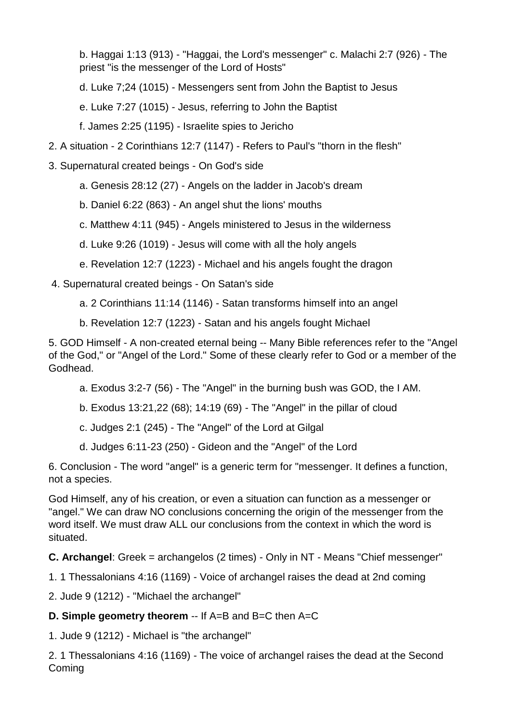b. Haggai 1:13 (913) - "Haggai, the Lord's messenger" c. Malachi 2:7 (926) - The priest "is the messenger of the Lord of Hosts"

d. Luke 7;24 (1015) - Messengers sent from John the Baptist to Jesus

e. Luke 7:27 (1015) - Jesus, referring to John the Baptist

f. James 2:25 (1195) - Israelite spies to Jericho

- 2. A situation 2 Corinthians 12:7 (1147) Refers to Paul's "thorn in the flesh"
- 3. Supernatural created beings On God's side
	- a. Genesis 28:12 (27) Angels on the ladder in Jacob's dream
	- b. Daniel 6:22 (863) An angel shut the lions' mouths
	- c. Matthew 4:11 (945) Angels ministered to Jesus in the wilderness

d. Luke 9:26 (1019) - Jesus will come with all the holy angels

e. Revelation 12:7 (1223) - Michael and his angels fought the dragon

4. Supernatural created beings - On Satan's side

- a. 2 Corinthians 11:14 (1146) Satan transforms himself into an angel
- b. Revelation 12:7 (1223) Satan and his angels fought Michael

5. GOD Himself - A non-created eternal being -- Many Bible references refer to the "Angel of the God," or "Angel of the Lord." Some of these clearly refer to God or a member of the Godhead.

- a. Exodus 3:2-7 (56) The "Angel" in the burning bush was GOD, the I AM.
- b. Exodus 13:21,22 (68); 14:19 (69) The "Angel" in the pillar of cloud
- c. Judges 2:1 (245) The "Angel" of the Lord at Gilgal
- d. Judges 6:11-23 (250) Gideon and the "Angel" of the Lord

6. Conclusion - The word "angel" is a generic term for "messenger. It defines a function, not a species.

God Himself, any of his creation, or even a situation can function as a messenger or "angel." We can draw NO conclusions concerning the origin of the messenger from the word itself. We must draw ALL our conclusions from the context in which the word is situated.

**C. Archangel**: Greek = archangelos (2 times) - Only in NT - Means "Chief messenger"

1. 1 Thessalonians 4:16 (1169) - Voice of archangel raises the dead at 2nd coming

2. Jude 9 (1212) - "Michael the archangel"

# **D. Simple geometry theorem** -- If A=B and B=C then A=C

1. Jude 9 (1212) - Michael is "the archangel"

2. 1 Thessalonians 4:16 (1169) - The voice of archangel raises the dead at the Second Coming